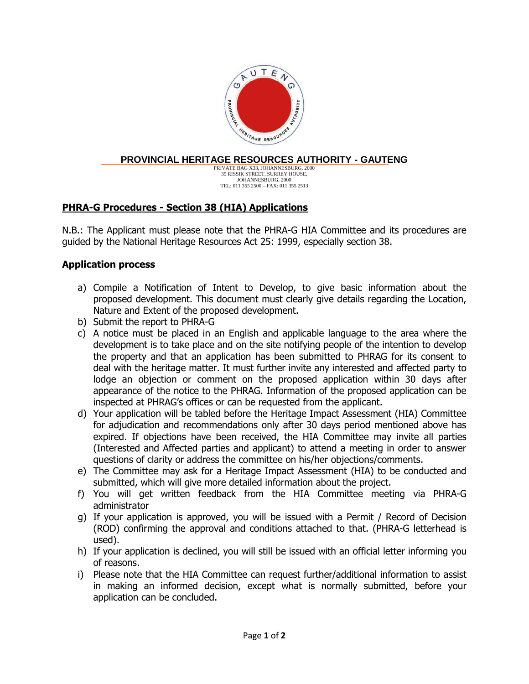

#### **PROVINCIAL HERITAGE RESOURCES AUTHORITY - GAUTENG**

PRIVATE BAG X33, JOHANNESBURG, 2000 35 RISSIK STREET, SURREY HOUSE, JOHANNESBURG, 2000 TEL: 011 355 2500 – FAX: 011 355 2513

## **PHRA-G Procedures - Section 38 (HIA) Applications**

N.B.: The Applicant must please note that the PHRA-G HIA Committee and its procedures are guided by the National Heritage Resources Act 25: 1999, especially section 38.

#### **Application process**

- a) Compile a Notification of Intent to Develop, to give basic information about the proposed development. This document must clearly give details regarding the Location, Nature and Extent of the proposed development.
- b) Submit the report to PHRA-G
- c) A notice must be placed in an English and applicable language to the area where the development is to take place and on the site notifying people of the intention to develop the property and that an application has been submitted to PHRAG for its consent to deal with the heritage matter. It must further invite any interested and affected party to lodge an objection or comment on the proposed application within 30 days after appearance of the notice to the PHRAG. Information of the proposed application can be inspected at PHRAG's offices or can be requested from the applicant.
- d) Your application will be tabled before the Heritage Impact Assessment (HIA) Committee for adjudication and recommendations only after 30 days period mentioned above has expired. If objections have been received, the HIA Committee may invite all parties (Interested and Affected parties and applicant) to attend a meeting in order to answer questions of clarity or address the committee on his/her objections/comments.
- e) The Committee may ask for a Heritage Impact Assessment (HIA) to be conducted and submitted, which will give more detailed information about the project.
- f) You will get written feedback from the HIA Committee meeting via PHRA-G administrator
- g) If your application is approved, you will be issued with a Permit / Record of Decision (ROD) confirming the approval and conditions attached to that. (PHRA-G letterhead is used).
- h) If your application is declined, you will still be issued with an official letter informing you of reasons.
- i) Please note that the HIA Committee can request further/additional information to assist in making an informed decision, except what is normally submitted, before your application can be concluded.